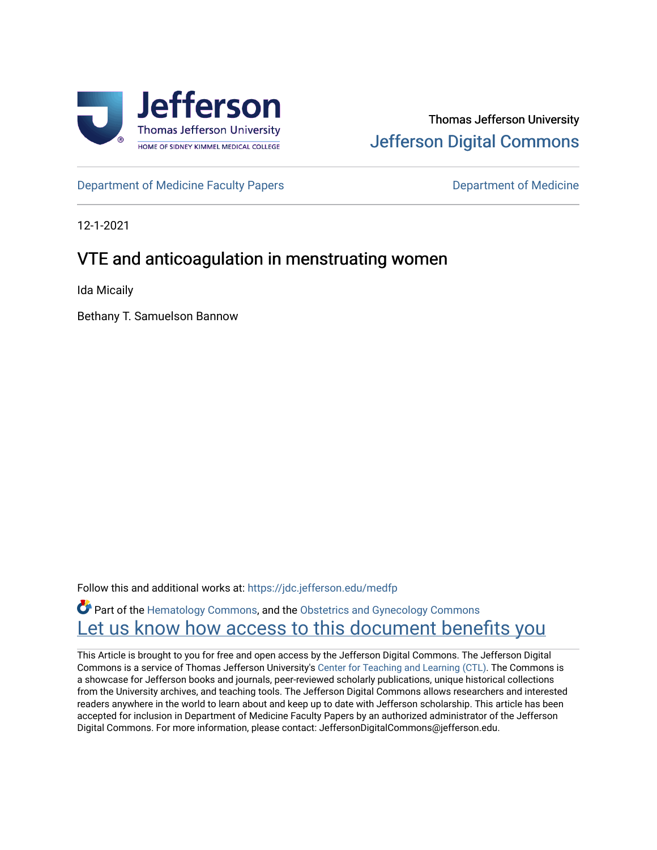

# Thomas Jefferson University [Jefferson Digital Commons](https://jdc.jefferson.edu/)

[Department of Medicine Faculty Papers](https://jdc.jefferson.edu/medfp) **Department of Medicine** 

12-1-2021

# VTE and anticoagulation in menstruating women

Ida Micaily

Bethany T. Samuelson Bannow

Follow this and additional works at: [https://jdc.jefferson.edu/medfp](https://jdc.jefferson.edu/medfp?utm_source=jdc.jefferson.edu%2Fmedfp%2F344&utm_medium=PDF&utm_campaign=PDFCoverPages) 

**Part of the [Hematology Commons,](http://network.bepress.com/hgg/discipline/1059?utm_source=jdc.jefferson.edu%2Fmedfp%2F344&utm_medium=PDF&utm_campaign=PDFCoverPages) and the [Obstetrics and Gynecology Commons](http://network.bepress.com/hgg/discipline/693?utm_source=jdc.jefferson.edu%2Fmedfp%2F344&utm_medium=PDF&utm_campaign=PDFCoverPages)** Let us know how access to this document benefits you

This Article is brought to you for free and open access by the Jefferson Digital Commons. The Jefferson Digital Commons is a service of Thomas Jefferson University's [Center for Teaching and Learning \(CTL\)](http://www.jefferson.edu/university/teaching-learning.html/). The Commons is a showcase for Jefferson books and journals, peer-reviewed scholarly publications, unique historical collections from the University archives, and teaching tools. The Jefferson Digital Commons allows researchers and interested readers anywhere in the world to learn about and keep up to date with Jefferson scholarship. This article has been accepted for inclusion in Department of Medicine Faculty Papers by an authorized administrator of the Jefferson Digital Commons. For more information, please contact: JeffersonDigitalCommons@jefferson.edu.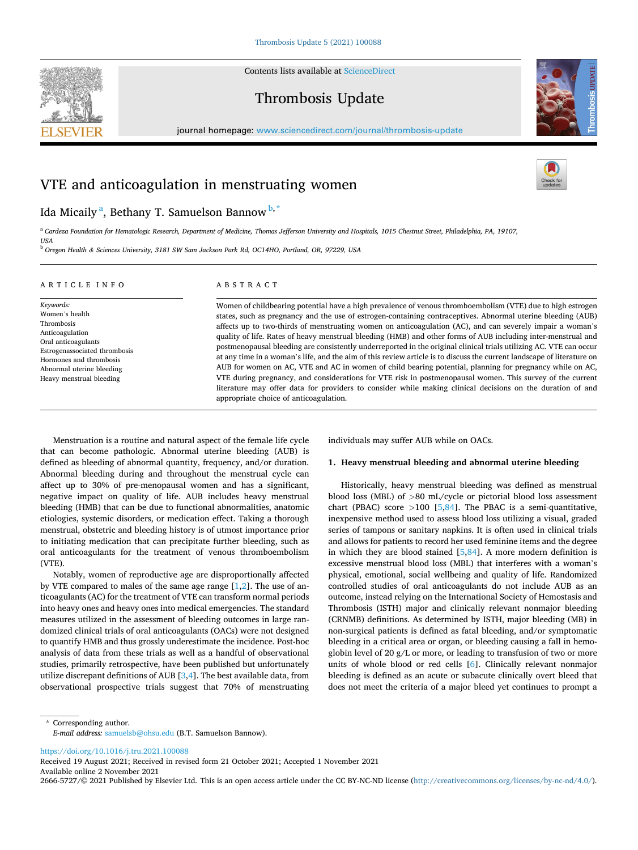Contents lists available at [ScienceDirect](www.sciencedirect.com/science/journal/26665727)







journal homepage: [www.sciencedirect.com/journal/thrombosis-update](https://www.sciencedirect.com/journal/thrombosis-update)

# VTE and anticoagulation in menstruating women

# Ida Micaily <sup>a</sup>, Bethany T. Samuelson Bannow <sup>b, \*</sup>

<sup>a</sup> *Cardeza Foundation for Hematologic Research, Department of Medicine, Thomas Jefferson University and Hospitals, 1015 Chestnut Street, Philadelphia, PA, 19107, USA* 

<sup>b</sup> *Oregon Health & Sciences University, 3181 SW Sam Jackson Park Rd, OC14HO, Portland, OR, 97229, USA* 

| ARTICLE INFO                                                                                                                                                                                             | ABSTRACT                                                                                                                                                                                                                                                                                                                                                                                                                                                                                                                                                                                                                                                                                                                                                                                                                                                                                                                                                                                                                                                                                   |
|----------------------------------------------------------------------------------------------------------------------------------------------------------------------------------------------------------|--------------------------------------------------------------------------------------------------------------------------------------------------------------------------------------------------------------------------------------------------------------------------------------------------------------------------------------------------------------------------------------------------------------------------------------------------------------------------------------------------------------------------------------------------------------------------------------------------------------------------------------------------------------------------------------------------------------------------------------------------------------------------------------------------------------------------------------------------------------------------------------------------------------------------------------------------------------------------------------------------------------------------------------------------------------------------------------------|
| Keywords:<br>Women's health<br>Thrombosis<br>Anticoagulation<br>Oral anticoagulants<br>Estrogenassociated thrombosis<br>Hormones and thrombosis<br>Abnormal uterine bleeding<br>Heavy menstrual bleeding | Women of childbearing potential have a high prevalence of venous thromboembolism (VTE) due to high estrogen<br>states, such as pregnancy and the use of estrogen-containing contraceptives. Abnormal uterine bleeding (AUB)<br>affects up to two-thirds of menstruating women on anticoagulation (AC), and can severely impair a woman's<br>quality of life. Rates of heavy menstrual bleeding (HMB) and other forms of AUB including inter-menstrual and<br>postmenopausal bleeding are consistently underreported in the original clinical trials utilizing AC. VTE can occur<br>at any time in a woman's life, and the aim of this review article is to discuss the current landscape of literature on<br>AUB for women on AC, VTE and AC in women of child bearing potential, planning for pregnancy while on AC,<br>VTE during pregnancy, and considerations for VTE risk in postmenopausal women. This survey of the current<br>literature may offer data for providers to consider while making clinical decisions on the duration of and<br>appropriate choice of anticoagulation. |

Menstruation is a routine and natural aspect of the female life cycle that can become pathologic. Abnormal uterine bleeding (AUB) is defined as bleeding of abnormal quantity, frequency, and/or duration. Abnormal bleeding during and throughout the menstrual cycle can affect up to 30% of pre-menopausal women and has a significant, negative impact on quality of life. AUB includes heavy menstrual bleeding (HMB) that can be due to functional abnormalities, anatomic etiologies, systemic disorders, or medication effect. Taking a thorough menstrual, obstetric and bleeding history is of utmost importance prior to initiating medication that can precipitate further bleeding, such as oral anticoagulants for the treatment of venous thromboembolism (VTE).

Notably, women of reproductive age are disproportionally affected by VTE compared to males of the same age range [\[1,2](#page-5-0)]. The use of anticoagulants (AC) for the treatment of VTE can transform normal periods into heavy ones and heavy ones into medical emergencies. The standard measures utilized in the assessment of bleeding outcomes in large randomized clinical trials of oral anticoagulants (OACs) were not designed to quantify HMB and thus grossly underestimate the incidence. Post-hoc analysis of data from these trials as well as a handful of observational studies, primarily retrospective, have been published but unfortunately utilize discrepant definitions of AUB  $[3,4]$  $[3,4]$  $[3,4]$  $[3,4]$ . The best available data, from observational prospective trials suggest that 70% of menstruating individuals may suffer AUB while on OACs.

# **1. Heavy menstrual bleeding and abnormal uterine bleeding**

Historically, heavy menstrual bleeding was defined as menstrual blood loss (MBL) of *>*80 mL/cycle or pictorial blood loss assessment chart (PBAC) score *>*100 [[5](#page-5-0),[84](#page-6-0)]. The PBAC is a semi-quantitative, inexpensive method used to assess blood loss utilizing a visual, graded series of tampons or sanitary napkins. It is often used in clinical trials and allows for patients to record her used feminine items and the degree in which they are blood stained [[5](#page-5-0)[,84](#page-6-0)]. A more modern definition is excessive menstrual blood loss (MBL) that interferes with a woman's physical, emotional, social wellbeing and quality of life. Randomized controlled studies of oral anticoagulants do not include AUB as an outcome, instead relying on the International Society of Hemostasis and Thrombosis (ISTH) major and clinically relevant nonmajor bleeding (CRNMB) definitions. As determined by ISTH, major bleeding (MB) in non-surgical patients is defined as fatal bleeding, and/or symptomatic bleeding in a critical area or organ, or bleeding causing a fall in hemoglobin level of 20 g/L or more, or leading to transfusion of two or more units of whole blood or red cells [[6](#page-5-0)]. Clinically relevant nonmajor bleeding is defined as an acute or subacute clinically overt bleed that does not meet the criteria of a major bleed yet continues to prompt a

\* Corresponding author. *E-mail address:* [samuelsb@ohsu.edu](mailto:samuelsb@ohsu.edu) (B.T. Samuelson Bannow).

<https://doi.org/10.1016/j.tru.2021.100088>

Available online 2 November 2021 Received 19 August 2021; Received in revised form 21 October 2021; Accepted 1 November 2021

2666-5727/© 2021 Published by Elsevier Ltd. This is an open access article under the CC BY-NC-ND license [\(http://creativecommons.org/licenses/by-nc-nd/4.0/\)](http://creativecommons.org/licenses/by-nc-nd/4.0/).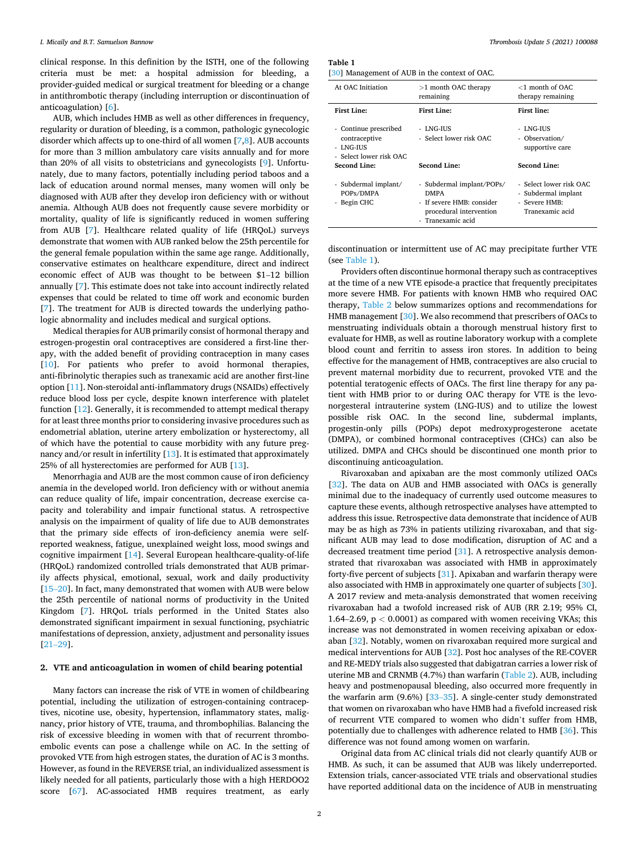clinical response. In this definition by the ISTH, one of the following criteria must be met: a hospital admission for bleeding, a provider-guided medical or surgical treatment for bleeding or a change in antithrombotic therapy (including interruption or discontinuation of anticoagulation) [\[6\]](#page-5-0).

AUB, which includes HMB as well as other differences in frequency, regularity or duration of bleeding, is a common, pathologic gynecologic disorder which affects up to one-third of all women [\[7,8\]](#page-5-0). AUB accounts for more than 3 million ambulatory care visits annually and for more than 20% of all visits to obstetricians and gynecologists [[9](#page-5-0)]. Unfortunately, due to many factors, potentially including period taboos and a lack of education around normal menses, many women will only be diagnosed with AUB after they develop iron deficiency with or without anemia. Although AUB does not frequently cause severe morbidity or mortality, quality of life is significantly reduced in women suffering from AUB [[7](#page-5-0)]. Healthcare related quality of life (HRQoL) surveys demonstrate that women with AUB ranked below the 25th percentile for the general female population within the same age range. Additionally, conservative estimates on healthcare expenditure, direct and indirect economic effect of AUB was thought to be between \$1–12 billion annually [[7](#page-5-0)]. This estimate does not take into account indirectly related expenses that could be related to time off work and economic burden [[7](#page-5-0)]. The treatment for AUB is directed towards the underlying pathologic abnormality and includes medical and surgical options.

Medical therapies for AUB primarily consist of hormonal therapy and estrogen-progestin oral contraceptives are considered a first-line therapy, with the added benefit of providing contraception in many cases [[10\]](#page-5-0). For patients who prefer to avoid hormonal therapies, anti-fibrinolytic therapies such as tranexamic acid are another first-line option [\[11](#page-5-0)]. Non-steroidal anti-inflammatory drugs (NSAIDs) effectively reduce blood loss per cycle, despite known interference with platelet function [\[12](#page-5-0)]. Generally, it is recommended to attempt medical therapy for at least three months prior to considering invasive procedures such as endometrial ablation, uterine artery embolization or hysterectomy, all of which have the potential to cause morbidity with any future pregnancy and/or result in infertility [\[13](#page-5-0)]. It is estimated that approximately 25% of all hysterectomies are performed for AUB [\[13\]](#page-5-0).

Menorrhagia and AUB are the most common cause of iron deficiency anemia in the developed world. Iron deficiency with or without anemia can reduce quality of life, impair concentration, decrease exercise capacity and tolerability and impair functional status. A retrospective analysis on the impairment of quality of life due to AUB demonstrates that the primary side effects of iron-deficiency anemia were selfreported weakness, fatigue, unexplained weight loss, mood swings and cognitive impairment [[14\]](#page-5-0). Several European healthcare-quality-of-life (HRQoL) randomized controlled trials demonstrated that AUB primarily affects physical, emotional, sexual, work and daily productivity [15–[20\]](#page-5-0). In fact, many demonstrated that women with AUB were below the 25th percentile of national norms of productivity in the United Kingdom [\[7\]](#page-5-0). HRQoL trials performed in the United States also demonstrated significant impairment in sexual functioning, psychiatric manifestations of depression, anxiety, adjustment and personality issues [21–[29\]](#page-5-0).

# **2. VTE and anticoagulation in women of child bearing potential**

Many factors can increase the risk of VTE in women of childbearing potential, including the utilization of estrogen-containing contraceptives, nicotine use, obesity, hypertension, inflammatory states, malignancy, prior history of VTE, trauma, and thrombophilias. Balancing the risk of excessive bleeding in women with that of recurrent thromboembolic events can pose a challenge while on AC. In the setting of provoked VTE from high estrogen states, the duration of AC is 3 months. However, as found in the REVERSE trial, an individualized assessment is likely needed for all patients, particularly those with a high HERDOO2 score [[67](#page-6-0)]. AC-associated HMB requires treatment, as early

**Table 1** 

| [30] Management of AUB in the context of OAC. |  |  |  |  |
|-----------------------------------------------|--|--|--|--|

| At OAC Initiation                                                              | $>1$ month OAC therapy<br>remaining                                                                                   | $<$ 1 month of OAC<br>therapy remaining                                            |
|--------------------------------------------------------------------------------|-----------------------------------------------------------------------------------------------------------------------|------------------------------------------------------------------------------------|
| <b>First Line:</b>                                                             | <b>First Line:</b>                                                                                                    | <b>First line:</b>                                                                 |
| - Continue prescribed<br>contraceptive<br>- LNG-IUS<br>- Select lower risk OAC | - LNG-IUS<br>- Select lower risk OAC                                                                                  | - LNG-IUS<br>- Observation/<br>supportive care                                     |
| Second Line:                                                                   | <b>Second Line:</b>                                                                                                   | Second Line:                                                                       |
| - Subdermal implant/<br>POPs/DMPA<br>- Begin CHC                               | - Subdermal implant/POPs/<br><b>DMPA</b><br>- If severe HMB: consider<br>procedural intervention<br>- Tranexamic acid | - Select lower risk OAC<br>- Subdermal implant<br>- Severe HMB:<br>Tranexamic acid |

discontinuation or intermittent use of AC may precipitate further VTE (see Table 1).

Providers often discontinue hormonal therapy such as contraceptives at the time of a new VTE episode-a practice that frequently precipitates more severe HMB. For patients with known HMB who required OAC therapy, [Table 2](#page-3-0) below summarizes options and recommendations for HMB management [[30\]](#page-5-0). We also recommend that prescribers of OACs to menstruating individuals obtain a thorough menstrual history first to evaluate for HMB, as well as routine laboratory workup with a complete blood count and ferritin to assess iron stores. In addition to being effective for the management of HMB, contraceptives are also crucial to prevent maternal morbidity due to recurrent, provoked VTE and the potential teratogenic effects of OACs. The first line therapy for any patient with HMB prior to or during OAC therapy for VTE is the levonorgesteral intrauterine system (LNG-IUS) and to utilize the lowest possible risk OAC. In the second line, subdermal implants, progestin-only pills (POPs) depot medroxyprogesterone acetate (DMPA), or combined hormonal contraceptives (CHCs) can also be utilized. DMPA and CHCs should be discontinued one month prior to discontinuing anticoagulation.

Rivaroxaban and apixaban are the most commonly utilized OACs [[32\]](#page-5-0). The data on AUB and HMB associated with OACs is generally minimal due to the inadequacy of currently used outcome measures to capture these events, although retrospective analyses have attempted to address this issue. Retrospective data demonstrate that incidence of AUB may be as high as 73% in patients utilizing rivaroxaban, and that significant AUB may lead to dose modification, disruption of AC and a decreased treatment time period [[31\]](#page-5-0). A retrospective analysis demonstrated that rivaroxaban was associated with HMB in approximately forty-five percent of subjects [\[31](#page-5-0)]. Apixaban and warfarin therapy were also associated with HMB in approximately one quarter of subjects [\[30](#page-5-0)]. A 2017 review and meta-analysis demonstrated that women receiving rivaroxaban had a twofold increased risk of AUB (RR 2.19; 95% CI, 1.64–2.69, p *<* 0.0001) as compared with women receiving VKAs; this increase was not demonstrated in women receiving apixaban or edoxaban [\[32](#page-5-0)]. Notably, women on rivaroxaban required more surgical and medical interventions for AUB [[32\]](#page-5-0). Post hoc analyses of the RE-COVER and RE-MEDY trials also suggested that dabigatran carries a lower risk of uterine MB and CRNMB (4.7%) than warfarin [\(Table 2](#page-3-0)). AUB, including heavy and postmenopausal bleeding, also occurred more frequently in the warfarin arm (9.6%) [33–[35\]](#page-5-0). A single-center study demonstrated that women on rivaroxaban who have HMB had a fivefold increased risk of recurrent VTE compared to women who didn't suffer from HMB, potentially due to challenges with adherence related to HMB [[36\]](#page-5-0). This difference was not found among women on warfarin.

Original data from AC clinical trials did not clearly quantify AUB or HMB. As such, it can be assumed that AUB was likely underreported. Extension trials, cancer-associated VTE trials and observational studies have reported additional data on the incidence of AUB in menstruating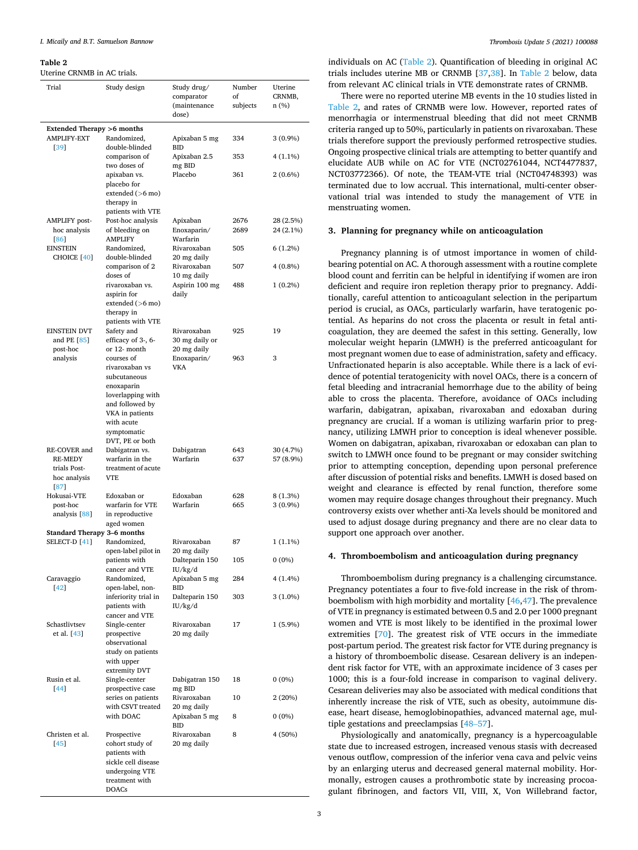#### <span id="page-3-0"></span>**Table 2**

Uterine CRNMB in AC trials.

| Trial                                                                  | Study design                                                                                                               | Study drug/<br>comparator<br>(maintenance<br>dose) | Number<br>of<br>subjects | Uterine<br>CRNMB,<br>n(%) |
|------------------------------------------------------------------------|----------------------------------------------------------------------------------------------------------------------------|----------------------------------------------------|--------------------------|---------------------------|
|                                                                        |                                                                                                                            |                                                    |                          |                           |
| <b>Extended Therapy &gt;6 months</b><br><b>AMPLIFY-EXT</b><br>[39]     | Randomized,<br>double-blinded                                                                                              | Apixaban 5 mg<br><b>BID</b>                        | 334                      | 3 (0.9%)                  |
|                                                                        | comparison of<br>two doses of                                                                                              | Apixaban 2.5<br>mg BID                             | 353                      | 4 (1.1%)                  |
|                                                                        | apixaban vs.                                                                                                               | Placebo                                            | 361                      | 2 (0.6%)                  |
|                                                                        | placebo for<br>extended $(>6$ mo)<br>therapy in<br>patients with VTE                                                       |                                                    |                          |                           |
| <b>AMPLIFY</b> post-<br>hoc analysis<br>[86]                           | Post-hoc analysis<br>of bleeding on<br><b>AMPLIFY</b>                                                                      | Apixaban<br>Enoxaparin/<br>Warfarin                | 2676<br>2689             | 28 (2.5%)<br>24 (2.1%)    |
| <b>EINSTEIN</b><br>CHOICE [40]                                         | Randomized,<br>double-blinded                                                                                              | Rivaroxaban<br>20 mg daily                         | 505                      | $6(1.2\%)$                |
|                                                                        | comparison of 2<br>doses of                                                                                                | Rivaroxaban<br>10 mg daily                         | 507                      | 4 (0.8%)                  |
|                                                                        | rivaroxaban vs.<br>aspirin for<br>extended $(>6$ mo)<br>therapy in                                                         | Aspirin 100 mg<br>daily                            | 488                      | $1(0.2\%)$                |
| <b>EINSTEIN DVT</b><br>and PE $[85]$                                   | patients with VTE<br>Safety and<br>efficacy of 3-, 6-                                                                      | Rivaroxaban<br>30 mg daily or                      | 925                      | 19                        |
| post-hoc<br>analysis                                                   | or 12- month<br>courses of<br>rivaroxaban vs<br>subcutaneous                                                               | 20 mg daily<br>Enoxaparin/<br><b>VKA</b>           | 963                      | 3                         |
|                                                                        | enoxaparin<br>loverlapping with<br>and followed by<br>VKA in patients                                                      |                                                    |                          |                           |
|                                                                        | with acute<br>symptomatic<br>DVT, PE or both                                                                               |                                                    |                          |                           |
| RE-COVER and<br><b>RE-MEDY</b><br>trials Post-<br>hoc analysis<br>[87] | Dabigatran vs.<br>warfarin in the<br>treatment of acute<br>VTE                                                             | Dabigatran<br>Warfarin                             | 643<br>637               | 30 (4.7%)<br>57 (8.9%)    |
| Hokusai-VTE                                                            | Edoxaban or                                                                                                                | Edoxaban                                           | 628                      | 8 (1.3%)                  |
| post-hoc<br>analysis [88]                                              | warfarin for VTE<br>in reproductive<br>aged women                                                                          | Warfarin                                           | 665                      | 3 (0.9%)                  |
| Standard Therapy 3-6 months                                            |                                                                                                                            |                                                    |                          |                           |
| SELECT-D <sup>[41]</sup>                                               | Randomized,<br>open-label pilot in                                                                                         | Rivaroxaban<br>20 mg daily                         | 87                       | 1 (1.1%)                  |
|                                                                        | patients with<br>cancer and VTE                                                                                            | Dalteparin 150<br>IU/kg/d                          | 105                      | $0(0\%)$                  |
| Caravaggio<br>$[42]$                                                   | Randomized,<br>open-label, non-                                                                                            | Apixaban 5 mg<br>BID                               | 284                      | 4 (1.4%)                  |
|                                                                        | inferiority trial in<br>patients with<br>cancer and VTE                                                                    | Dalteparin 150<br>IU/kg/d                          | 303                      | $3(1.0\%)$                |
| Schastlivtsev<br>et al. [43]                                           | Single-center<br>prospective<br>observational<br>study on patients                                                         | Rivaroxaban<br>20 mg daily                         | 17                       | $1(5.9\%)$                |
|                                                                        | with upper<br>extremity DVT                                                                                                |                                                    |                          |                           |
| Rusin et al.<br>44                                                     | Single-center<br>prospective case                                                                                          | Dabigatran 150<br>mg BID                           | 18                       | $0(0\%)$                  |
|                                                                        | series on patients<br>with CSVT treated                                                                                    | Rivaroxaban<br>20 mg daily                         | 10                       | 2(20%)                    |
|                                                                        | with DOAC                                                                                                                  | Apixaban 5 mg<br><b>BID</b>                        | 8                        | $0(0\%)$                  |
| Christen et al.<br>$[45]$                                              | Prospective<br>cohort study of<br>patients with<br>sickle cell disease<br>undergoing VTE<br>treatment with<br><b>DOACs</b> | Rivaroxaban<br>20 mg daily                         | 8                        | 4 (50%)                   |

individuals on AC (Table 2). Quantification of bleeding in original AC trials includes uterine MB or CRNMB [[37,38](#page-5-0)]. In Table 2 below, data from relevant AC clinical trials in VTE demonstrate rates of CRNMB.

There were no reported uterine MB events in the 10 studies listed in Table 2, and rates of CRNMB were low. However, reported rates of menorrhagia or intermenstrual bleeding that did not meet CRNMB criteria ranged up to 50%, particularly in patients on rivaroxaban. These trials therefore support the previously performed retrospective studies. Ongoing prospective clinical trials are attempting to better quantify and elucidate AUB while on AC for VTE (NCT02761044, NCT4477837, NCT03772366). Of note, the TEAM-VTE trial (NCT04748393) was terminated due to low accrual. This international, multi-center observational trial was intended to study the management of VTE in menstruating women.

# **3. Planning for pregnancy while on anticoagulation**

Pregnancy planning is of utmost importance in women of childbearing potential on AC. A thorough assessment with a routine complete blood count and ferritin can be helpful in identifying if women are iron deficient and require iron repletion therapy prior to pregnancy. Additionally, careful attention to anticoagulant selection in the peripartum period is crucial, as OACs, particularly warfarin, have teratogenic potential. As heparins do not cross the placenta or result in fetal anticoagulation, they are deemed the safest in this setting. Generally, low molecular weight heparin (LMWH) is the preferred anticoagulant for most pregnant women due to ease of administration, safety and efficacy. Unfractionated heparin is also acceptable. While there is a lack of evidence of potential teratogenicity with novel OACs, there is a concern of fetal bleeding and intracranial hemorrhage due to the ability of being able to cross the placenta. Therefore, avoidance of OACs including warfarin, dabigatran, apixaban, rivaroxaban and edoxaban during pregnancy are crucial. If a woman is utilizing warfarin prior to pregnancy, utilizing LMWH prior to conception is ideal whenever possible. Women on dabigatran, apixaban, rivaroxaban or edoxaban can plan to switch to LMWH once found to be pregnant or may consider switching prior to attempting conception, depending upon personal preference after discussion of potential risks and benefits. LMWH is dosed based on weight and clearance is effected by renal function, therefore some women may require dosage changes throughout their pregnancy. Much controversy exists over whether anti-Xa levels should be monitored and used to adjust dosage during pregnancy and there are no clear data to support one approach over another.

# **4. Thromboembolism and anticoagulation during pregnancy**

Thromboembolism during pregnancy is a challenging circumstance. Pregnancy potentiates a four to five-fold increase in the risk of thromboembolism with high morbidity and mortality [[46,47\]](#page-6-0). The prevalence of VTE in pregnancy is estimated between 0.5 and 2.0 per 1000 pregnant women and VTE is most likely to be identified in the proximal lower extremities [\[70](#page-6-0)]. The greatest risk of VTE occurs in the immediate post-partum period. The greatest risk factor for VTE during pregnancy is a history of thromboembolic disease. Cesarean delivery is an independent risk factor for VTE, with an approximate incidence of 3 cases per 1000; this is a four-fold increase in comparison to vaginal delivery. Cesarean deliveries may also be associated with medical conditions that inherently increase the risk of VTE, such as obesity, autoimmune disease, heart disease, hemoglobinopathies, advanced maternal age, multiple gestations and preeclampsias [\[48](#page-6-0)–57].

Physiologically and anatomically, pregnancy is a hypercoagulable state due to increased estrogen, increased venous stasis with decreased venous outflow, compression of the inferior vena cava and pelvic veins by an enlarging uterus and decreased general maternal mobility. Hormonally, estrogen causes a prothrombotic state by increasing procoagulant fibrinogen, and factors VII, VIII, X, Von Willebrand factor,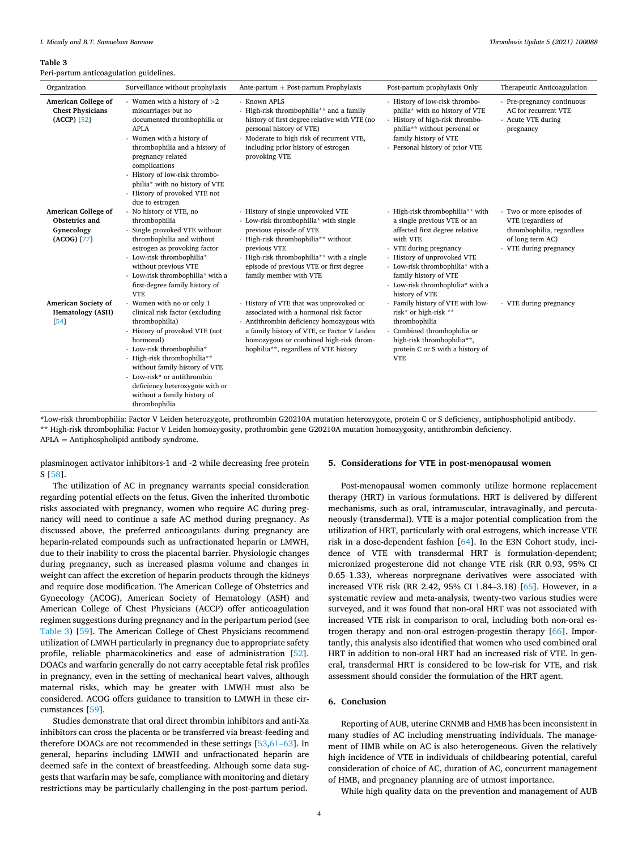#### **Table 3**

Peri-partum anticoagulation guidelines.

| Organization                                                       | Surveillance without prophylaxis                                                                                                                                                                                                                                                                                                             | Ante-partum $+$ Post-partum Prophylaxis                                                                                                                                                                                                                                         | Post-partum prophylaxis Only                                                                                                                                                                                                                                                              | Therapeutic Anticoagulation                                                                                                |
|--------------------------------------------------------------------|----------------------------------------------------------------------------------------------------------------------------------------------------------------------------------------------------------------------------------------------------------------------------------------------------------------------------------------------|---------------------------------------------------------------------------------------------------------------------------------------------------------------------------------------------------------------------------------------------------------------------------------|-------------------------------------------------------------------------------------------------------------------------------------------------------------------------------------------------------------------------------------------------------------------------------------------|----------------------------------------------------------------------------------------------------------------------------|
| American College of<br><b>Chest Physicians</b><br>$(ACCP)$ [52]    | - Women with a history of $>2$<br>miscarriages but no<br>documented thrombophilia or<br><b>APLA</b><br>- Women with a history of<br>thrombophilia and a history of<br>pregnancy related<br>complications<br>- History of low-risk thrombo-<br>philia* with no history of VTE<br>- History of provoked VTE not<br>due to estrogen             | - Known APLS<br>- High-risk thrombophilia** and a family<br>history of first degree relative with VTE (no<br>personal history of VTE)<br>- Moderate to high risk of recurrent VTE,<br>including prior history of estrogen<br>provoking VTE                                      | - History of low-risk thrombo-<br>philia* with no history of VTE<br>- History of high-risk thrombo-<br>philia** without personal or<br>family history of VTE<br>- Personal history of prior VTE                                                                                           | - Pre-pregnancy continuous<br>AC for recurrent VTE<br>- Acute VTE during<br>pregnancy                                      |
| American College of<br>Obstetrics and<br>Gynecology<br>(ACOG) [77] | - No history of VTE, no<br>thrombophilia<br>- Single provoked VTE without<br>thrombophilia and without<br>estrogen as provoking factor<br>- Low-risk thrombophilia*<br>without previous VTE<br>- Low-risk thrombophilia* with a<br>first-degree family history of<br><b>VTE</b>                                                              | - History of single unprovoked VTE<br>- Low-risk thrombophilia* with single<br>previous episode of VTE<br>- High-risk thrombophilia** without<br>previous VTE<br>- High-risk thrombophilia** with a single<br>episode of previous VTE or first degree<br>family member with VTE | - High-risk thrombophilia** with<br>a single previous VTE or an<br>affected first degree relative<br>with VTE<br>- VTE during pregnancy<br>- History of unprovoked VTE<br>- Low-risk thrombophilia* with a<br>family history of VTE<br>- Low-risk thrombophilia* with a<br>history of VTE | - Two or more episodes of<br>VTE (regardless of<br>thrombophilia, regardless<br>of long term AC)<br>- VTE during pregnancy |
| American Society of<br><b>Hematology (ASH)</b><br>[54]             | - Women with no or only 1<br>clinical risk factor (excluding<br>thrombophilia)<br>- History of provoked VTE (not<br>hormonal)<br>- Low-risk thrombophilia*<br>- High-risk thrombophilia**<br>without family history of VTE<br>- Low-risk* or antithrombin<br>deficiency heterozygote with or<br>without a family history of<br>thrombophilia | - History of VTE that was unprovoked or<br>associated with a hormonal risk factor<br>- Antithrombin deficiency homozygous with<br>a family history of VTE, or Factor V Leiden<br>homozygous or combined high-risk throm-<br>bophilia**, regardless of VTE history               | - Family history of VTE with low-<br>risk* or high-risk **<br>thrombophilia<br>Combined thrombophilia or<br>high-risk thrombophilia**,<br>protein C or S with a history of<br><b>VTE</b>                                                                                                  | - VTE during pregnancy                                                                                                     |

\*Low-risk thrombophilia: Factor V Leiden heterozygote, prothrombin G20210A mutation heterozygote, protein C or S deficiency, antiphospholipid antibody. \*\* High-risk thrombophilia: Factor V Leiden homozygosity, prothrombin gene G20210A mutation homozygosity, antithrombin deficiency.

APLA = Antiphospholipid antibody syndrome.

plasminogen activator inhibitors-1 and -2 while decreasing free protein S [[58\]](#page-6-0).

The utilization of AC in pregnancy warrants special consideration regarding potential effects on the fetus. Given the inherited thrombotic risks associated with pregnancy, women who require AC during pregnancy will need to continue a safe AC method during pregnancy. As discussed above, the preferred anticoagulants during pregnancy are heparin-related compounds such as unfractionated heparin or LMWH, due to their inability to cross the placental barrier. Physiologic changes during pregnancy, such as increased plasma volume and changes in weight can affect the excretion of heparin products through the kidneys and require dose modification. The American College of Obstetrics and Gynecology (ACOG), American Society of Hematology (ASH) and American College of Chest Physicians (ACCP) offer anticoagulation regimen suggestions during pregnancy and in the peripartum period (see Table 3) [\[59](#page-6-0)]. The American College of Chest Physicians recommend utilization of LMWH particularly in pregnancy due to appropriate safety profile, reliable pharmacokinetics and ease of administration [\[52](#page-6-0)]. DOACs and warfarin generally do not carry acceptable fetal risk profiles in pregnancy, even in the setting of mechanical heart valves, although maternal risks, which may be greater with LMWH must also be considered. ACOG offers guidance to transition to LMWH in these circumstances [[59\]](#page-6-0).

Studies demonstrate that oral direct thrombin inhibitors and anti-Xa inhibitors can cross the placenta or be transferred via breast-feeding and therefore DOACs are not recommended in these settings [[53,](#page-6-0)61–[63\]](#page-6-0). In general, heparins including LMWH and unfractionated heparin are deemed safe in the context of breastfeeding. Although some data suggests that warfarin may be safe, compliance with monitoring and dietary restrictions may be particularly challenging in the post-partum period.

# **5. Considerations for VTE in post-menopausal women**

Post-menopausal women commonly utilize hormone replacement therapy (HRT) in various formulations. HRT is delivered by different mechanisms, such as oral, intramuscular, intravaginally, and percutaneously (transdermal). VTE is a major potential complication from the utilization of HRT, particularly with oral estrogens, which increase VTE risk in a dose-dependent fashion [\[64](#page-6-0)]. In the E3N Cohort study, incidence of VTE with transdermal HRT is formulation-dependent; micronized progesterone did not change VTE risk (RR 0.93, 95% CI 0.65–1.33), whereas norpregnane derivatives were associated with increased VTE risk (RR 2.42, 95% CI 1.84–3.18) [[65\]](#page-6-0). However, in a systematic review and meta-analysis, twenty-two various studies were surveyed, and it was found that non-oral HRT was not associated with increased VTE risk in comparison to oral, including both non-oral estrogen therapy and non-oral estrogen-progestin therapy [[66\]](#page-6-0). Importantly, this analysis also identified that women who used combined oral HRT in addition to non-oral HRT had an increased risk of VTE. In general, transdermal HRT is considered to be low-risk for VTE, and risk assessment should consider the formulation of the HRT agent.

# **6. Conclusion**

Reporting of AUB, uterine CRNMB and HMB has been inconsistent in many studies of AC including menstruating individuals. The management of HMB while on AC is also heterogeneous. Given the relatively high incidence of VTE in individuals of childbearing potential, careful consideration of choice of AC, duration of AC, concurrent management of HMB, and pregnancy planning are of utmost importance.

While high quality data on the prevention and management of AUB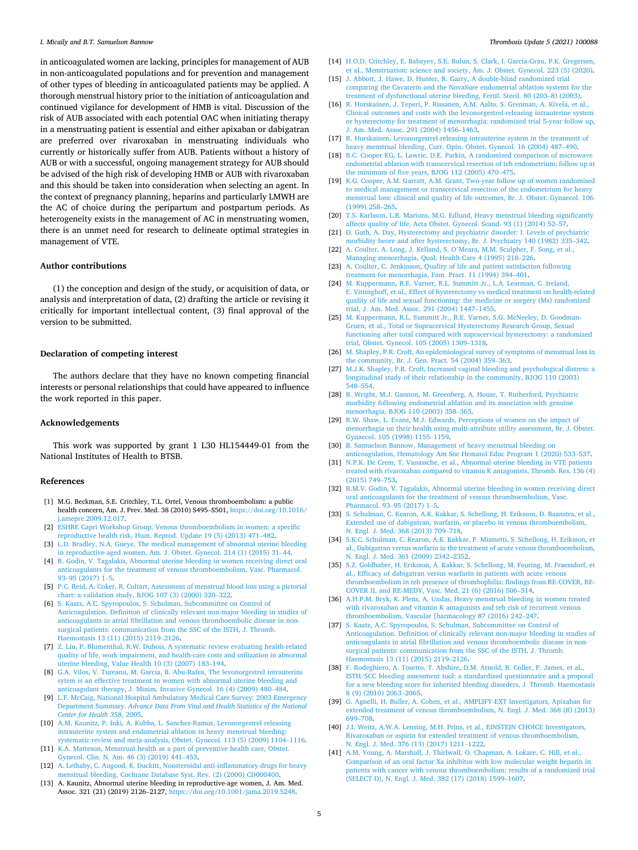<span id="page-5-0"></span>in anticoagulated women are lacking, principles for management of AUB in non-anticoagulated populations and for prevention and management of other types of bleeding in anticoagulated patients may be applied. A thorough menstrual history prior to the initiation of anticoagulation and continued vigilance for development of HMB is vital. Discussion of the risk of AUB associated with each potential OAC when initiating therapy in a menstruating patient is essential and either apixaban or dabigatran are preferred over rivaroxaban in menstruating individuals who currently or historically suffer from AUB. Patients without a history of AUB or with a successful, ongoing management strategy for AUB should be advised of the high risk of developing HMB or AUB with rivaroxaban and this should be taken into consideration when selecting an agent. In the context of pregnancy planning, heparins and particularly LMWH are the AC of choice during the peripartum and postpartum periods. As heterogeneity exists in the management of AC in menstruating women, there is an unmet need for research to delineate optimal strategies in management of VTE.

# **Author contributions**

(1) the conception and design of the study, or acquisition of data, or analysis and interpretation of data, (2) drafting the article or revising it critically for important intellectual content, (3) final approval of the version to be submitted.

# **Declaration of competing interest**

The authors declare that they have no known competing financial interests or personal relationships that could have appeared to influence the work reported in this paper.

# **Acknowledgements**

This work was supported by grant 1 L30 HL154449-01 from the National Institutes of Health to BTSB.

## **References**

- [1] M.G. Beckman, S.E. Critchley, T.L. Ortel, Venous thromboembolism: a public health concern, Am. J. Prev. Med. 38 (2010) S495–S501, [https://doi.org/10.1016/](https://doi.org/10.1016/j.amepre.2009.12.017)  [j.amepre.2009.12.017](https://doi.org/10.1016/j.amepre.2009.12.017).
- [2] [ESHRE Capri Workshop Group, Venous thromboembolism in women: a specific](http://refhub.elsevier.com/S2666-5727(21)00057-2/sref2) [reproductive health risk, Hum. Reprod. Update 19 \(5\) \(2013\) 471](http://refhub.elsevier.com/S2666-5727(21)00057-2/sref2)–482. [3] [L.D. Bradley, N.A. Gueye, The medical management of abnormal uterine bleeding](http://refhub.elsevier.com/S2666-5727(21)00057-2/sref3)
- [in reproductive-aged women, Am. J. Obstet. Gynecol. 214 \(1\) \(2015\) 31](http://refhub.elsevier.com/S2666-5727(21)00057-2/sref3)–44. [4] [R. Godin, V. Tagalakis, Abnormal uterine bleeding in women receiving direct oral](http://refhub.elsevier.com/S2666-5727(21)00057-2/sref4)
- [anticoagulants for the treatment of venous thromboembolism, Vasc. Pharmacol.](http://refhub.elsevier.com/S2666-5727(21)00057-2/sref4)  93–[95 \(2017\) 1](http://refhub.elsevier.com/S2666-5727(21)00057-2/sref4)–5.
- [5] [P.C. Reid, A. Coker, R. Coltart, Assessment of menstrual blood loss using a pictorial](http://refhub.elsevier.com/S2666-5727(21)00057-2/sref5)  [chart: a validation study, BJOG 107 \(3\) \(2000\) 320](http://refhub.elsevier.com/S2666-5727(21)00057-2/sref5)–322.
- [6] [S. Kaatz, A.C. Spyropoulos, S. Schulman, Subcommittee on Control of](http://refhub.elsevier.com/S2666-5727(21)00057-2/sref6)  [Anticoagulation. Definition of clinically relevant non-major bleeding in studies of](http://refhub.elsevier.com/S2666-5727(21)00057-2/sref6)  [anticoagulants in atrial fibrillation and venous thromboembolic disease in non](http://refhub.elsevier.com/S2666-5727(21)00057-2/sref6)[surgical patients: communication from the SSC of the ISTH, J. Thromb.](http://refhub.elsevier.com/S2666-5727(21)00057-2/sref6)  [Haemostasis 13 \(11\) \(2015\) 2119](http://refhub.elsevier.com/S2666-5727(21)00057-2/sref6)–2126.
- [7] [Z. Liu, P. Blumenthal, R.W. Dubois, A systematic review evaluating health-related](http://refhub.elsevier.com/S2666-5727(21)00057-2/sref7)  [quality of life, work impairment, and health-care costs and utilization in abnormal](http://refhub.elsevier.com/S2666-5727(21)00057-2/sref7)  [uterine bleeding, Value Health 10 \(3\) \(2007\) 183](http://refhub.elsevier.com/S2666-5727(21)00057-2/sref7)–194.
- [8] [G.A. Vilos, V. Tureanu, M. Garcia, B. Abu-Rafea, The levonorgestrel intrauterins](http://refhub.elsevier.com/S2666-5727(21)00057-2/sref8)  [sytem is an effective treatment in women with abnormal uterine bleeding and](http://refhub.elsevier.com/S2666-5727(21)00057-2/sref8) [anticoagulant therapy, J. Minim. Invasive Gynecol. 16 \(4\) \(2009\) 480](http://refhub.elsevier.com/S2666-5727(21)00057-2/sref8)–484.
- [9] [L.F. McCaig, National Hospital Ambulatory Medical Care Survey: 2003 Emergency](http://refhub.elsevier.com/S2666-5727(21)00057-2/sref9)  Department Summary. *[Advance Data From Vital and Health Statistics of the National](http://refhub.elsevier.com/S2666-5727(21)00057-2/sref9)  [Center for Health 358](http://refhub.elsevier.com/S2666-5727(21)00057-2/sref9)*, 2005.
- [10] [A.M. Kaunitz, P. Inki, A. Kubba, L. Sanchez-Ramos, Levonorgestrel releasing](http://refhub.elsevier.com/S2666-5727(21)00057-2/sref10)  intrauterine system and endometrial ablation in heavy menstrual bleeding [systematic review and meta-analysis, Obstet. Gynecol. 113 \(5\) \(2009\) 1104](http://refhub.elsevier.com/S2666-5727(21)00057-2/sref10)–1116.
- [11] [K.A. Matteson, Menstrual health as a part of preventive health care, Obstet.](http://refhub.elsevier.com/S2666-5727(21)00057-2/sref11) [Gynecol. Clin. N. Am. 46 \(3\) \(2019\) 441](http://refhub.elsevier.com/S2666-5727(21)00057-2/sref11)–453.
- [12] [A. Lethaby, C. Augood, K. Duckitt, Nonsteroidal anti-inflammatory drugs for heavy](http://refhub.elsevier.com/S2666-5727(21)00057-2/sref12)  [menstrual bleeding, Cochrane Database Syst. Rev. \(2\) \(2000\) CD000400](http://refhub.elsevier.com/S2666-5727(21)00057-2/sref12).
- [13] A. Kaunitz, Abnormal uterine bleeding in reproductive-age women, J. Am. Med. Assoc. 321 (21) (2019) 2126–2127, [https://doi.org/10.1001/jama.2019.5248.](https://doi.org/10.1001/jama.2019.5248)
- [14] [H.O.D. Critchley, E. Babayev, S.E. Bulun, S. Clark, I. Garcia-Grau, P.K. Gregersen,](http://refhub.elsevier.com/S2666-5727(21)00057-2/sref14)  [et al., Menstruation: science and society, Am. J. Obstet. Gynecol. 223 \(5\) \(2020\)](http://refhub.elsevier.com/S2666-5727(21)00057-2/sref14).
- [15] [J. Abbott, J. Hawe, D. Hunter, R. Garry, A double-blind randomized trial](http://refhub.elsevier.com/S2666-5727(21)00057-2/sref15)  [comparing the Cavaterm and the NovaSure endometrial ablation systemt for the](http://refhub.elsevier.com/S2666-5727(21)00057-2/sref15)  [treatment of dysfunctional uterine bleeding, Fertil. Steril. 80 \(203](http://refhub.elsevier.com/S2666-5727(21)00057-2/sref15)–8) (2003).
- [16] [R. Hurskainen, J. Teperi, P. Rissanen, A.M. Aalto, S. Grenman, A. Kivel](http://refhub.elsevier.com/S2666-5727(21)00057-2/sref16)ä, et al., [Clinical outcomes and costs with the levonorgestrel-releasing intrauterine system](http://refhub.elsevier.com/S2666-5727(21)00057-2/sref16) [or hysterectomy for treatment of menorrhagia: randomized trial 5-year follow up,](http://refhub.elsevier.com/S2666-5727(21)00057-2/sref16)  [J. Am. Med. Assoc. 291 \(2004\) 1456](http://refhub.elsevier.com/S2666-5727(21)00057-2/sref16)–1463.
- [17] [R. Hurskainen, Levonorgestrel-releasing intrauterine system in the treatment of](http://refhub.elsevier.com/S2666-5727(21)00057-2/sref17) [heavy menstrual bleeding, Curr. Opin. Obstet. Gynecol. 16 \(2004\) 487](http://refhub.elsevier.com/S2666-5727(21)00057-2/sref17)–490.
- [18] [B.C. Cooper KG, L. Lawrie, D.E. Parkin, A randomized comparison of microwave](http://refhub.elsevier.com/S2666-5727(21)00057-2/sref18) [endometrial ablation with transcervical resection of teh endometrium; follow up at](http://refhub.elsevier.com/S2666-5727(21)00057-2/sref18)  [the minimum of five years, BJOG 112 \(2005\) 470](http://refhub.elsevier.com/S2666-5727(21)00057-2/sref18)–475.
- [19] [K.G. Cooper, A.M. Garratt, A.M. Grant, Two-year follow up of women randomised](http://refhub.elsevier.com/S2666-5727(21)00057-2/sref19)  [to medical management or transcervical resection of the endometrium for heavy](http://refhub.elsevier.com/S2666-5727(21)00057-2/sref19) [menstrual loss: clinical and quality of life outcomes, Br. J. Obstet. Gynaecol. 106](http://refhub.elsevier.com/S2666-5727(21)00057-2/sref19) [\(1999\) 258](http://refhub.elsevier.com/S2666-5727(21)00057-2/sref19)–265.
- [20] [T.S. Karlsson, L.B. Marions, M.G. Edlund, Heavy menstrual bleeding significantly](http://refhub.elsevier.com/S2666-5727(21)00057-2/sref20) [affects quality of life, Acta Obstet. Gynecol. Scand. 93 \(1\) \(2014\) 52](http://refhub.elsevier.com/S2666-5727(21)00057-2/sref20)–57.
- [21] D. Gath, A. Day, Hysterectomy and psychiatric disorder: I. Levels of psychiatric [morbidity beore and after hysterectomy, Br. J. Psychiatry 140 \(1982\) 335](http://refhub.elsevier.com/S2666-5727(21)00057-2/sref21)–342.
- [22] A. Coulter, A. Long, J. Kelland, S. O'[Meara, M.M. Sculpher, F. Song, et al.,](http://refhub.elsevier.com/S2666-5727(21)00057-2/sref22) [Managing menorrhagia, Qual. Health Care 4 \(1995\) 218](http://refhub.elsevier.com/S2666-5727(21)00057-2/sref22)–226.
- [23] [A. Coulter, C. Jenkinson, Quality of life and patient satisfaction following](http://refhub.elsevier.com/S2666-5727(21)00057-2/sref23) [treatment for menorrhagia, Fam. Pract. 11 \(1994\) 394](http://refhub.elsevier.com/S2666-5727(21)00057-2/sref23)–401.
- [24] [M. Kuppermann, R.E. Varner, R.L. Summitt Jr., L.A. Learman, C. Ireland,](http://refhub.elsevier.com/S2666-5727(21)00057-2/sref24)  [E. Vittinghoff, et al., Effect of hysterectomy vs medical treatment on health-related](http://refhub.elsevier.com/S2666-5727(21)00057-2/sref24)  [quality of life and sexual functioning: the medicine or surgery \(Ms\) randomized](http://refhub.elsevier.com/S2666-5727(21)00057-2/sref24) [trial, J. Am. Med. Assoc. 291 \(2004\) 1447](http://refhub.elsevier.com/S2666-5727(21)00057-2/sref24)–1455.
- [25] [M. Kuppermann, R.L. Summitt Jr., R.E. Varner, S.G. McNeeley, D. Goodman-](http://refhub.elsevier.com/S2666-5727(21)00057-2/sref25)[Gruen, et al., Total or Supracervical Hysterectomy Research Group, Sexual](http://refhub.elsevier.com/S2666-5727(21)00057-2/sref25) [functioning after total compared with supracervical hysterectomy: a randomized](http://refhub.elsevier.com/S2666-5727(21)00057-2/sref25) [trial, Obstet. Gynecol. 105 \(2005\) 1309](http://refhub.elsevier.com/S2666-5727(21)00057-2/sref25)–1318.
- [26] [M. Shapley, P.R. Croft, An epidemiological survey of symptoms of menstrual loss in](http://refhub.elsevier.com/S2666-5727(21)00057-2/sref26)  [the community, Br. J. Gen. Pract. 54 \(2004\) 359](http://refhub.elsevier.com/S2666-5727(21)00057-2/sref26)–363.
- [27] M.J.K. Shapley, P.R. Croft, Increased vaginal bleeding and psychological distress: a [longitudinal study of their relationship in the community, BJOG 110 \(2003\)](http://refhub.elsevier.com/S2666-5727(21)00057-2/sref27)  548–[554.](http://refhub.elsevier.com/S2666-5727(21)00057-2/sref27)
- [28] [B. Wright, M.J. Gannon, M. Greenberg, A. House, T. Rutherford, Psychiatric](http://refhub.elsevier.com/S2666-5727(21)00057-2/sref28) [morbidity following endometrial ablation and its association with genuine](http://refhub.elsevier.com/S2666-5727(21)00057-2/sref28) [menorrhagia, BJOG 110 \(2003\) 358](http://refhub.elsevier.com/S2666-5727(21)00057-2/sref28)–363.
- [29] R.W. Shaw, L. Evans, M.J. Edwards, Perceptions of women on the impact of [menorrhagia on their health using multi-attribute utility assessment, Br. J. Obstet.](http://refhub.elsevier.com/S2666-5727(21)00057-2/sref29)  [Gynaecol. 105 \(1998\) 1155](http://refhub.elsevier.com/S2666-5727(21)00057-2/sref29)–1159.
- [30] [B. Samuelson Bannow, Management of heavy menstrual bleeding on](http://refhub.elsevier.com/S2666-5727(21)00057-2/sref30)  [anticoagulation, Hematology Am Soc Hematol Educ Program 1 \(2020\) 533](http://refhub.elsevier.com/S2666-5727(21)00057-2/sref30)–537.
- [31] [N.P.K. De Crem, T. Vanassche, et al., Abnormal uterine bleeding in VTE patients](http://refhub.elsevier.com/S2666-5727(21)00057-2/sref31) [treated with rivaroxaban compared to vitamin K antagonists, Thromb. Res. 136 \(4\)](http://refhub.elsevier.com/S2666-5727(21)00057-2/sref31)  [\(2015\) 749](http://refhub.elsevier.com/S2666-5727(21)00057-2/sref31)–753.
- [32] [R.M.V. Godin, V. Tagalakis, Abnormal uterine bleeding in women receiving direct](http://refhub.elsevier.com/S2666-5727(21)00057-2/sref32)  [oral anticoagulants for the treatment of venous thromboembolism, Vasc.](http://refhub.elsevier.com/S2666-5727(21)00057-2/sref32) [Pharmacol. 93](http://refhub.elsevier.com/S2666-5727(21)00057-2/sref32)–95 (2017) 1–5.
- [33] [S. Schulman, C. Kearon, A.K. Kakkar, S. Schellong, H. Eriksson, D. Baanstra, et al.,](http://refhub.elsevier.com/S2666-5727(21)00057-2/sref33)  [Extended use of dabigatran, warfarin, or placebo in venous thromboembolism,](http://refhub.elsevier.com/S2666-5727(21)00057-2/sref33)  [N. Engl. J. Med. 368 \(2013\) 709](http://refhub.elsevier.com/S2666-5727(21)00057-2/sref33)–718.
- [34] [S.K.C. Schulman, C. Kearon, A.K. Kakkar, P. Mismetti, S. Schellong, H. Eriksson, et](http://refhub.elsevier.com/S2666-5727(21)00057-2/sref34)  [al., Dabigatran versus warfarin in the treatment of acute venous thromboembolism,](http://refhub.elsevier.com/S2666-5727(21)00057-2/sref34)  [N. Engl. J. Med. 361 \(2009\) 2342](http://refhub.elsevier.com/S2666-5727(21)00057-2/sref34)–2352.
- [35] [S.Z. Goldhaber, H. Eriksson, A. Kakkar, S. Schellong, M. Feuring, M. Fraessdorf, et](http://refhub.elsevier.com/S2666-5727(21)00057-2/sref35)  [al., Efficacy of dabigatran versus warfarin in patients with acute venous](http://refhub.elsevier.com/S2666-5727(21)00057-2/sref35)  [thromboembolism in teh presence of thrombophilia: findings from RE-COVER, RE-](http://refhub.elsevier.com/S2666-5727(21)00057-2/sref35)[COVER II, and RE-MEDY, Vasc. Med. 21 \(6\) \(2016\) 506](http://refhub.elsevier.com/S2666-5727(21)00057-2/sref35)–514.
- [36] [A.H.P.M. Bryk, K. Plens, A. Undas, Heavy menstrual bleeding in women treated](http://refhub.elsevier.com/S2666-5727(21)00057-2/sref36) [with rivaroxaban and vitamin K antagonists and teh risk of recurrent venous](http://refhub.elsevier.com/S2666-5727(21)00057-2/sref36) [thromboembolism, Vascular \[harmacology 87 \(2016\) 242](http://refhub.elsevier.com/S2666-5727(21)00057-2/sref36)–247.
- [37] [S. Kaatz, A.C. Spyropoulos, S. Schulman, Subcommittee on Control of](http://refhub.elsevier.com/S2666-5727(21)00057-2/sref37)  [Anticoagulation. Definition of clinically relevant non-major bleeding in studies of](http://refhub.elsevier.com/S2666-5727(21)00057-2/sref37)  [anticoagulants in atrial fibrillation and venous thromboembolic disease in non](http://refhub.elsevier.com/S2666-5727(21)00057-2/sref37)[surgical patients: communication from the SSC of the ISTH, J. Thromb.](http://refhub.elsevier.com/S2666-5727(21)00057-2/sref37)  [Haemostasis 13 \(11\) \(2015\) 2119](http://refhub.elsevier.com/S2666-5727(21)00057-2/sref37)–2126.
- [38] [F. Rodeghiero, A. Tosetto, T. Abshire, D.M. Arnold, B. Coller, P. James, et al.,](http://refhub.elsevier.com/S2666-5727(21)00057-2/sref38) [ISTH/SCC bleeding assessment tool: a standardized questionnaire and a proposal](http://refhub.elsevier.com/S2666-5727(21)00057-2/sref38) [for a new bleeding score for inherited bleeding disorders, J. Thromb. Haemostasis](http://refhub.elsevier.com/S2666-5727(21)00057-2/sref38)  [8 \(9\) \(2010\) 2063](http://refhub.elsevier.com/S2666-5727(21)00057-2/sref38)–2065.
- [39] [G. Agnelli, H. Buller, A. Cohen, et al., AMPLIFY-EXT Investigators, Apixaban for](http://refhub.elsevier.com/S2666-5727(21)00057-2/sref39) [extended treatment of venous thromboembolism, N. Engl. J. Med. 368 \(8\) \(2013\)](http://refhub.elsevier.com/S2666-5727(21)00057-2/sref39)  699–[708.](http://refhub.elsevier.com/S2666-5727(21)00057-2/sref39)
- [40] [J.I. Weitz, A.W.A. Lensing, M.H. Prins, et al., EINSTEIN CHOICE Investigators,](http://refhub.elsevier.com/S2666-5727(21)00057-2/sref40) [Rivaroxaban or aspirin for extended treatment of venous thromboembolism,](http://refhub.elsevier.com/S2666-5727(21)00057-2/sref40)  [N. Engl. J. Med. 376 \(13\) \(2017\) 1211](http://refhub.elsevier.com/S2666-5727(21)00057-2/sref40)–1222.
- [41] [A.M. Young, A. Marshall, J. Thirlwall, O. Chapman, A. Lokare, C. Hill, et al.,](http://refhub.elsevier.com/S2666-5727(21)00057-2/sref41)  [Comparison of an oral factor Xa inhibitor with low molecular weight heparin in](http://refhub.elsevier.com/S2666-5727(21)00057-2/sref41) [patients with cancer with venous thromboembolism: results of a randomized trial](http://refhub.elsevier.com/S2666-5727(21)00057-2/sref41)  [\(SELECT-D\), N. Engl. J. Med. 382 \(17\) \(2018\) 1599](http://refhub.elsevier.com/S2666-5727(21)00057-2/sref41)–1607.